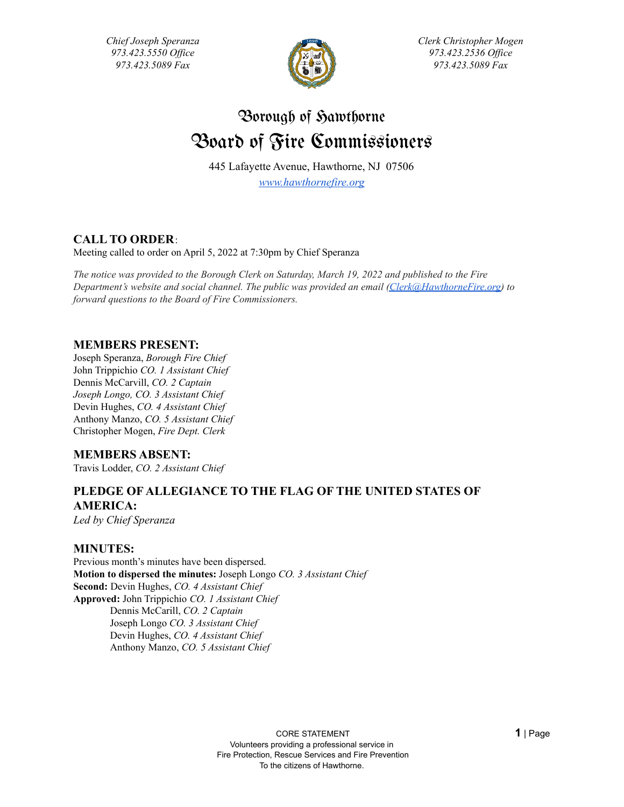*Chief Joseph Speranza 973.423.5550 Of ice 973.423.5089 Fax*



*Clerk Christopher Mogen 973.423.2536 Of ice 973.423.5089 Fax*

# Borough of Sawthorne Board of Fire Commissioners

445 Lafayette Avenue, Hawthorne, NJ 07506 *[www.hawthornefire.org](http://www.hawthornefire.org)*

### **CALL TO ORDER**:

Meeting called to order on April 5, 2022 at 7:30pm by Chief Speranza

*The notice was provided to the Borough Clerk on Saturday, March 19, 2022 and published to the Fire Department's website and social channel. The public was provided an email [\(Clerk@HawthorneFire.org\)](mailto:Clerk@HawthorneFire.org) to forward questions to the Board of Fire Commissioners.*

### **MEMBERS PRESENT:**

Joseph Speranza, *Borough Fire Chief* John Trippichio *CO. 1 Assistant Chief* Dennis McCarvill, *CO. 2 Captain Joseph Longo, CO. 3 Assistant Chief* Devin Hughes, *CO. 4 Assistant Chief* Anthony Manzo, *CO. 5 Assistant Chief* Christopher Mogen, *Fire Dept. Clerk*

### **MEMBERS ABSENT:**

Travis Lodder, *CO. 2 Assistant Chief*

# **PLEDGE OF ALLEGIANCE TO THE FLAG OF THE UNITED STATES OF AMERICA:**

*Led by Chief Speranza*

### **MINUTES:**

Previous month's minutes have been dispersed. **Motion to dispersed the minutes:** Joseph Longo *CO. 3 Assistant Chief* **Second:** Devin Hughes, *CO. 4 Assistant Chief* **Approved:** John Trippichio *CO. 1 Assistant Chief* Dennis McCarill, *CO. 2 Captain* Joseph Longo *CO. 3 Assistant Chief* Devin Hughes, *CO. 4 Assistant Chief* Anthony Manzo, *CO. 5 Assistant Chief*

> CORE STATEMENT **1** | Page Volunteers providing a professional service in Fire Protection, Rescue Services and Fire Prevention To the citizens of Hawthorne.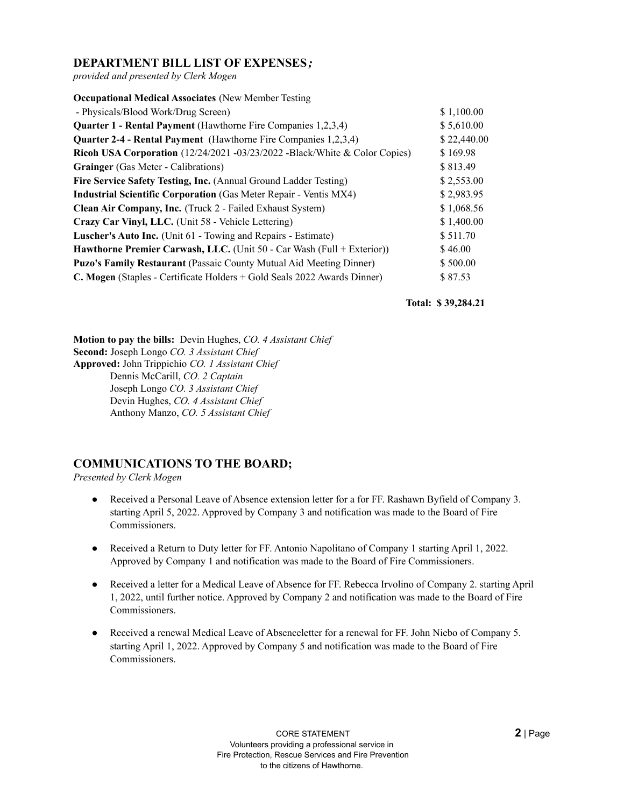### **DEPARTMENT BILL LIST OF EXPENSES***;*

*provided and presented by Clerk Mogen*

| <b>Occupational Medical Associates (New Member Testing)</b>                |             |
|----------------------------------------------------------------------------|-------------|
| - Physicals/Blood Work/Drug Screen)                                        | \$1,100.00  |
| <b>Quarter 1 - Rental Payment</b> (Hawthorne Fire Companies 1,2,3,4)       | \$5,610.00  |
| Quarter 2-4 - Rental Payment (Hawthorne Fire Companies 1,2,3,4)            | \$22,440.00 |
| Ricoh USA Corporation (12/24/2021 -03/23/2022 -Black/White & Color Copies) | \$169.98    |
| <b>Grainger</b> (Gas Meter - Calibrations)                                 | \$813.49    |
| Fire Service Safety Testing, Inc. (Annual Ground Ladder Testing)           | \$2,553.00  |
| <b>Industrial Scientific Corporation</b> (Gas Meter Repair - Ventis MX4)   | \$2,983.95  |
| Clean Air Company, Inc. (Truck 2 - Failed Exhaust System)                  | \$1,068.56  |
| Crazy Car Vinyl, LLC. (Unit 58 - Vehicle Lettering)                        | \$1,400.00  |
| <b>Luscher's Auto Inc.</b> (Unit 61 - Towing and Repairs - Estimate)       | \$511.70    |
| Hawthorne Premier Carwash, LLC. (Unit 50 - Car Wash (Full + Exterior))     | \$46.00     |
| <b>Puzo's Family Restaurant</b> (Passaic County Mutual Aid Meeting Dinner) | \$500.00    |
| C. Mogen (Staples - Certificate Holders + Gold Seals 2022 Awards Dinner)   | \$87.53     |

**Total: \$ 39,284.21**

**Motion to pay the bills:** Devin Hughes, *CO. 4 Assistant Chief* **Second:** Joseph Longo *CO. 3 Assistant Chief* **Approved:** John Trippichio *CO. 1 Assistant Chief* Dennis McCarill, *CO. 2 Captain* Joseph Longo *CO. 3 Assistant Chief* Devin Hughes, *CO. 4 Assistant Chief* Anthony Manzo, *CO. 5 Assistant Chief*

### **COMMUNICATIONS TO THE BOARD;**

*Presented by Clerk Mogen*

- Received a Personal Leave of Absence extension letter for a for FF. Rashawn Byfield of Company 3. starting April 5, 2022. Approved by Company 3 and notification was made to the Board of Fire Commissioners.
- Received a Return to Duty letter for FF. Antonio Napolitano of Company 1 starting April 1, 2022. Approved by Company 1 and notification was made to the Board of Fire Commissioners.
- Received a letter for a Medical Leave of Absence for FF. Rebecca Irvolino of Company 2. starting April 1, 2022, until further notice. Approved by Company 2 and notification was made to the Board of Fire Commissioners.
- Received a renewal Medical Leave of Absenceletter for a renewal for FF. John Niebo of Company 5. starting April 1, 2022. Approved by Company 5 and notification was made to the Board of Fire Commissioners.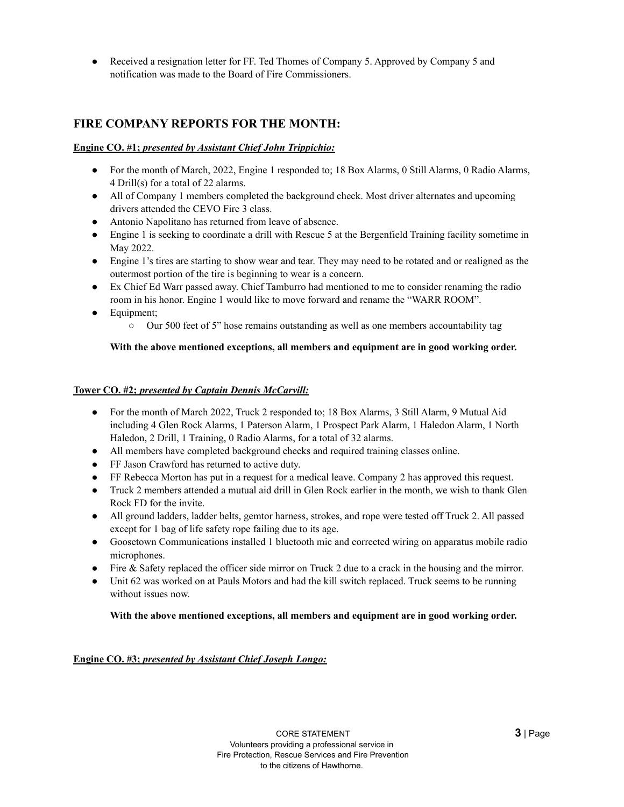• Received a resignation letter for FF. Ted Thomes of Company 5. Approved by Company 5 and notification was made to the Board of Fire Commissioners.

### **FIRE COMPANY REPORTS FOR THE MONTH:**

#### **Engine CO. #1;** *presented by Assistant Chief John Trippichio:*

- For the month of March, 2022, Engine 1 responded to; 18 Box Alarms, 0 Still Alarms, 0 Radio Alarms, 4 Drill(s) for a total of 22 alarms.
- All of Company 1 members completed the background check. Most driver alternates and upcoming drivers attended the CEVO Fire 3 class.
- Antonio Napolitano has returned from leave of absence.
- Engine 1 is seeking to coordinate a drill with Rescue 5 at the Bergenfield Training facility sometime in May 2022.
- Engine 1's tires are starting to show wear and tear. They may need to be rotated and or realigned as the outermost portion of the tire is beginning to wear is a concern.
- Ex Chief Ed Warr passed away. Chief Tamburro had mentioned to me to consider renaming the radio room in his honor. Engine 1 would like to move forward and rename the "WARR ROOM".
- Equipment;
	- $\circ$  Our 500 feet of 5" hose remains outstanding as well as one members accountability tag

#### **With the above mentioned exceptions, all members and equipment are in good working order.**

#### **Tower CO. #2;** *presented by Captain Dennis McCarvill:*

- For the month of March 2022, Truck 2 responded to; 18 Box Alarms, 3 Still Alarm, 9 Mutual Aid including 4 Glen Rock Alarms, 1 Paterson Alarm, 1 Prospect Park Alarm, 1 Haledon Alarm, 1 North Haledon, 2 Drill, 1 Training, 0 Radio Alarms, for a total of 32 alarms.
- All members have completed background checks and required training classes online.
- FF Jason Crawford has returned to active duty.
- FF Rebecca Morton has put in a request for a medical leave. Company 2 has approved this request.
- Truck 2 members attended a mutual aid drill in Glen Rock earlier in the month, we wish to thank Glen Rock FD for the invite.
- All ground ladders, ladder belts, gemtor harness, strokes, and rope were tested off Truck 2. All passed except for 1 bag of life safety rope failing due to its age.
- Goosetown Communications installed 1 bluetooth mic and corrected wiring on apparatus mobile radio microphones.
- Fire & Safety replaced the officer side mirror on Truck 2 due to a crack in the housing and the mirror.
- Unit 62 was worked on at Pauls Motors and had the kill switch replaced. Truck seems to be running without issues now.

#### **With the above mentioned exceptions, all members and equipment are in good working order.**

#### **Engine CO. #3;** *presented by Assistant Chief Joseph Longo:*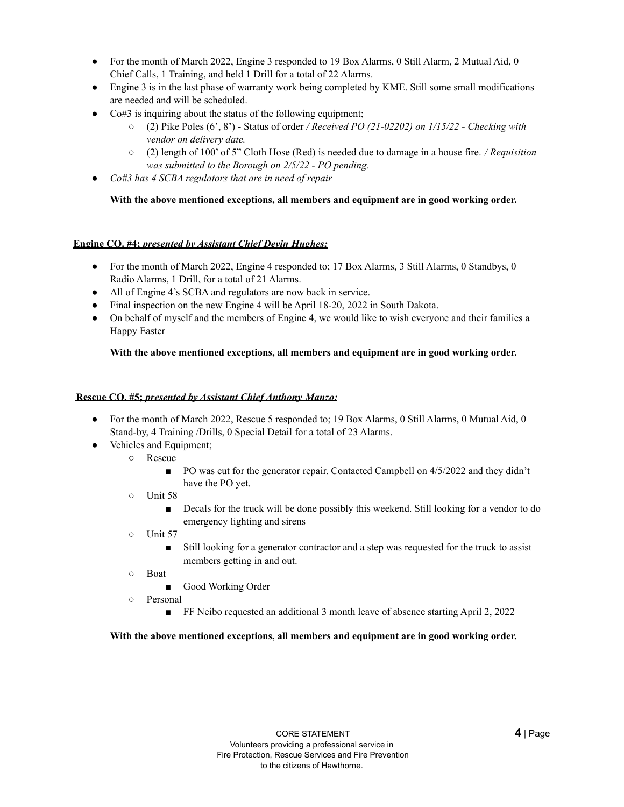- For the month of March 2022, Engine 3 responded to 19 Box Alarms, 0 Still Alarm, 2 Mutual Aid, 0 Chief Calls, 1 Training, and held 1 Drill for a total of 22 Alarms.
- Engine 3 is in the last phase of warranty work being completed by KME. Still some small modifications are needed and will be scheduled.
- Co#3 is inquiring about the status of the following equipment;
	- (2) Pike Poles (6', 8') Status of order */ Received PO (21-02202) on 1/15/22 - Checking with vendor on delivery date.*
	- (2) length of 100' of 5" Cloth Hose (Red) is needed due to damage in a house fire. */ Requisition was submitted to the Borough on 2/5/22 - PO pending.*
- *Co#3 has 4 SCBA regulators that are in need of repair*

#### **With the above mentioned exceptions, all members and equipment are in good working order.**

#### **Engine CO. #4;** *presented by Assistant Chief Devin Hughes:*

- For the month of March 2022, Engine 4 responded to; 17 Box Alarms, 3 Still Alarms, 0 Standbys, 0 Radio Alarms, 1 Drill, for a total of 21 Alarms.
- All of Engine 4's SCBA and regulators are now back in service.
- Final inspection on the new Engine 4 will be April 18-20, 2022 in South Dakota.
- On behalf of myself and the members of Engine 4, we would like to wish everyone and their families a Happy Easter

#### **With the above mentioned exceptions, all members and equipment are in good working order.**

#### **Rescue CO. #5;** *presented by Assistant Chief Anthony Manzo:*

- For the month of March 2022, Rescue 5 responded to; 19 Box Alarms, 0 Still Alarms, 0 Mutual Aid, 0 Stand-by, 4 Training /Drills, 0 Special Detail for a total of 23 Alarms.
- Vehicles and Equipment;
	- Rescue
		- PO was cut for the generator repair. Contacted Campbell on  $4/5/2022$  and they didn't have the PO yet.
	- Unit 58
		- Decals for the truck will be done possibly this weekend. Still looking for a vendor to do emergency lighting and sirens
	- Unit 57
		- Still looking for a generator contractor and a step was requested for the truck to assist members getting in and out.
	- Boat
		- Good Working Order
	- Personal
		- FF Neibo requested an additional 3 month leave of absence starting April 2, 2022

#### **With the above mentioned exceptions, all members and equipment are in good working order.**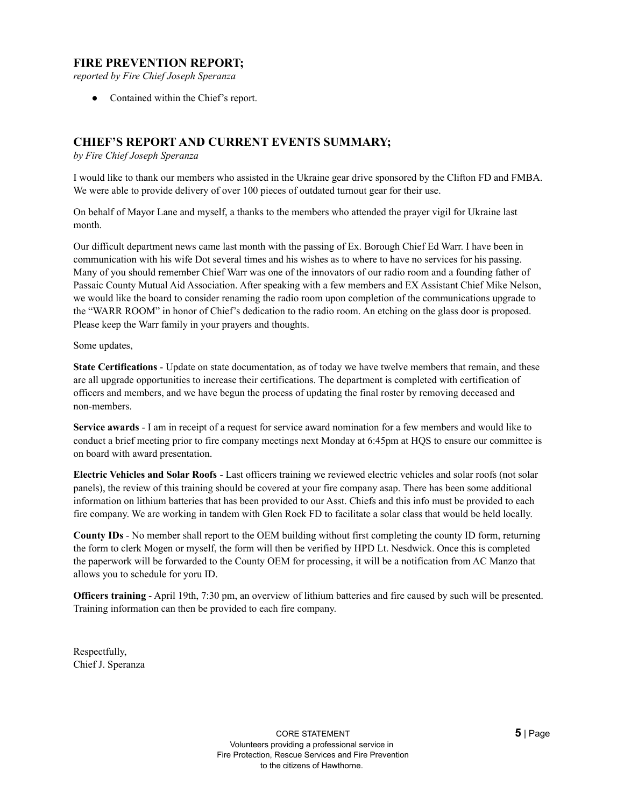### **FIRE PREVENTION REPORT;**

*reported by Fire Chief Joseph Speranza*

• Contained within the Chief's report.

### **CHIEF'S REPORT AND CURRENT EVENTS SUMMARY;**

*by Fire Chief Joseph Speranza*

I would like to thank our members who assisted in the Ukraine gear drive sponsored by the Clifton FD and FMBA. We were able to provide delivery of over 100 pieces of outdated turnout gear for their use.

On behalf of Mayor Lane and myself, a thanks to the members who attended the prayer vigil for Ukraine last month.

Our difficult department news came last month with the passing of Ex. Borough Chief Ed Warr. I have been in communication with his wife Dot several times and his wishes as to where to have no services for his passing. Many of you should remember Chief Warr was one of the innovators of our radio room and a founding father of Passaic County Mutual Aid Association. After speaking with a few members and EX Assistant Chief Mike Nelson, we would like the board to consider renaming the radio room upon completion of the communications upgrade to the "WARR ROOM" in honor of Chief's dedication to the radio room. An etching on the glass door is proposed. Please keep the Warr family in your prayers and thoughts.

Some updates,

**State Certifications** - Update on state documentation, as of today we have twelve members that remain, and these are all upgrade opportunities to increase their certifications. The department is completed with certification of officers and members, and we have begun the process of updating the final roster by removing deceased and non-members.

**Service awards** - I am in receipt of a request for service award nomination for a few members and would like to conduct a brief meeting prior to fire company meetings next Monday at 6:45pm at HQS to ensure our committee is on board with award presentation.

**Electric Vehicles and Solar Roofs** - Last officers training we reviewed electric vehicles and solar roofs (not solar panels), the review of this training should be covered at your fire company asap. There has been some additional information on lithium batteries that has been provided to our Asst. Chiefs and this info must be provided to each fire company. We are working in tandem with Glen Rock FD to facilitate a solar class that would be held locally.

**County IDs** - No member shall report to the OEM building without first completing the county ID form, returning the form to clerk Mogen or myself, the form will then be verified by HPD Lt. Nesdwick. Once this is completed the paperwork will be forwarded to the County OEM for processing, it will be a notification from AC Manzo that allows you to schedule for yoru ID.

**Officers training** - April 19th, 7:30 pm, an overview of lithium batteries and fire caused by such will be presented. Training information can then be provided to each fire company.

Respectfully, Chief J. Speranza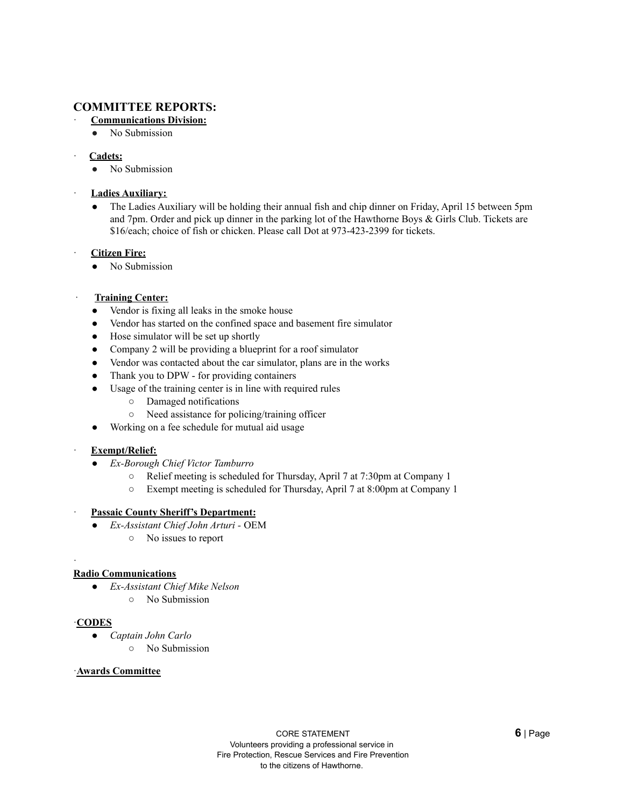### **COMMITTEE REPORTS:**

- · **Communications Division:**
	- No Submission
- · **Cadets:**
	- No Submission
- · **Ladies Auxiliary:**
	- The Ladies Auxiliary will be holding their annual fish and chip dinner on Friday, April 15 between 5pm and 7pm. Order and pick up dinner in the parking lot of the Hawthorne Boys & Girls Club. Tickets are \$16/each; choice of fish or chicken. Please call Dot at 973-423-2399 for tickets.
- · **Citizen Fire:**
	- No Submission
- · **Training Center:**
	- Vendor is fixing all leaks in the smoke house
	- Vendor has started on the confined space and basement fire simulator
	- Hose simulator will be set up shortly
	- Company 2 will be providing a blueprint for a roof simulator
	- Vendor was contacted about the car simulator, plans are in the works
	- Thank you to DPW for providing containers
	- Usage of the training center is in line with required rules
		- Damaged notifications
		- Need assistance for policing/training officer
	- Working on a fee schedule for mutual aid usage

#### · **Exempt/Relief:**

- *Ex-Borough Chief Victor Tamburro*
	- Relief meeting is scheduled for Thursday, April 7 at 7:30pm at Company 1
	- Exempt meeting is scheduled for Thursday, April 7 at 8:00pm at Company 1

#### · **Passaic County Sheriff's Department:**

- *Ex-Assistant Chief John Arturi -* OEM
	- No issues to report

#### **Radio Communications**

- *Ex-Assistant Chief Mike Nelson*
	- No Submission

#### ·**CODES**

·

- *Captain John Carlo*
	- No Submission

#### ·**Awards Committee**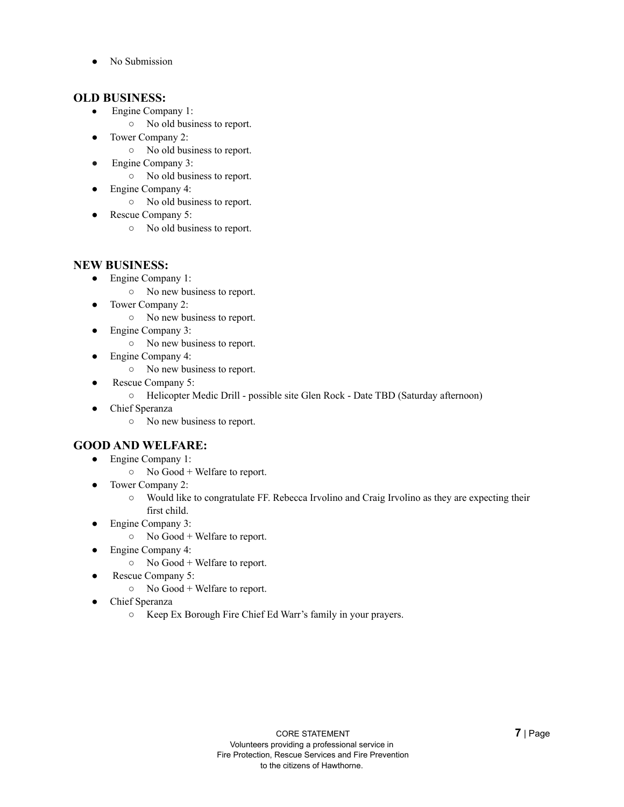No Submission

### **OLD BUSINESS:**

- Engine Company 1:
	- No old business to report.
- Tower Company 2:
	- No old business to report.
- Engine Company 3:
	- No old business to report.
- Engine Company 4:
	- No old business to report.
- Rescue Company 5:
	- No old business to report.

### **NEW BUSINESS:**

- Engine Company 1:
	- No new business to report.
- Tower Company 2:
	- No new business to report.
	- Engine Company 3:
		- No new business to report.
- Engine Company 4:
	- No new business to report.
- Rescue Company 5:
	- Helicopter Medic Drill possible site Glen Rock Date TBD (Saturday afternoon)
- Chief Speranza
	- No new business to report.

### **GOOD AND WELFARE:**

- Engine Company 1:
	- No Good + Welfare to report.
- Tower Company 2:
	- Would like to congratulate FF. Rebecca Irvolino and Craig Irvolino as they are expecting their first child.
- Engine Company 3:
	- No Good + Welfare to report.
- Engine Company 4:
	- No Good + Welfare to report.
- Rescue Company 5:
	- No Good + Welfare to report.
- Chief Speranza
	- Keep Ex Borough Fire Chief Ed Warr's family in your prayers.